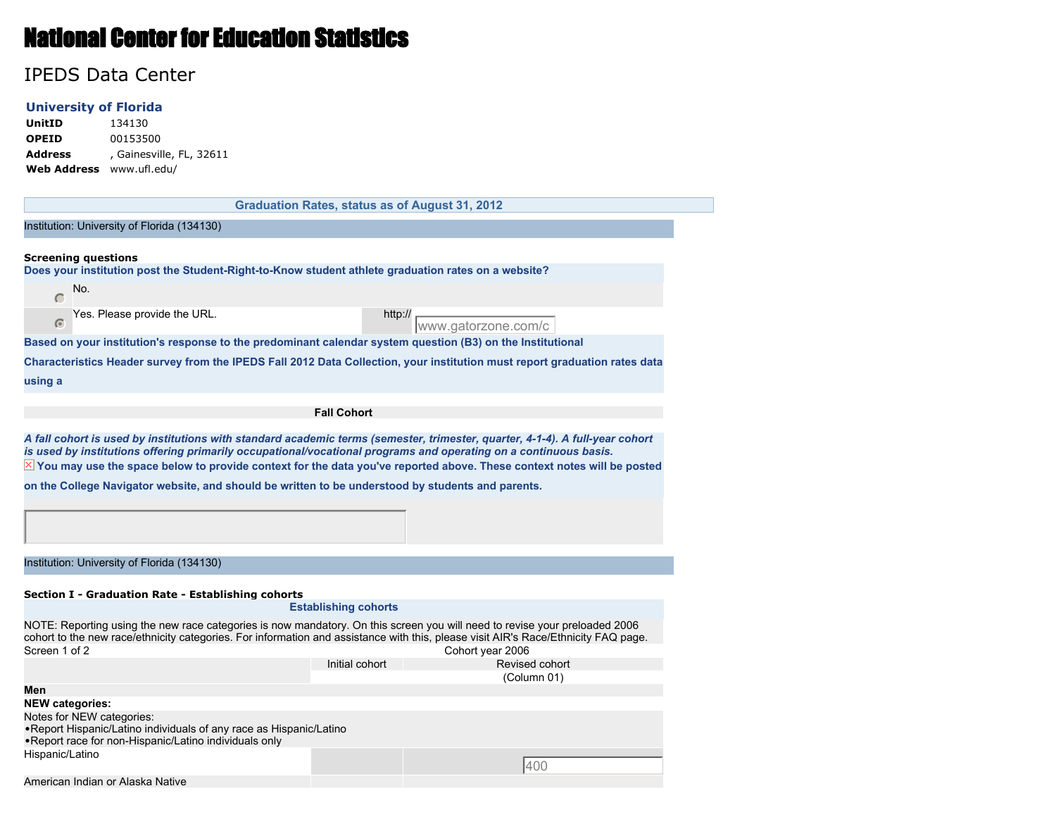# National Center for Education Statistics

## IPEDS Data Center

#### **University of Florida**

**UnitID** 134130 **OPEID** 00153500 Address , Gainesville, FL, 32611

| Web Address www.ufl.edu/                                                                                                                                                                                                               |                                                                                                                                                           |                                                       |  |  |  |  |
|----------------------------------------------------------------------------------------------------------------------------------------------------------------------------------------------------------------------------------------|-----------------------------------------------------------------------------------------------------------------------------------------------------------|-------------------------------------------------------|--|--|--|--|
|                                                                                                                                                                                                                                        |                                                                                                                                                           | <b>Graduation Rates, status as of August 31, 2012</b> |  |  |  |  |
| Institution: University of Florida (134130)                                                                                                                                                                                            |                                                                                                                                                           |                                                       |  |  |  |  |
| <b>Screening questions</b><br>Does your institution post the Student-Right-to-Know student athlete graduation rates on a website?                                                                                                      |                                                                                                                                                           |                                                       |  |  |  |  |
| No.<br>$\subset$                                                                                                                                                                                                                       |                                                                                                                                                           |                                                       |  |  |  |  |
| Yes. Please provide the URL.                                                                                                                                                                                                           |                                                                                                                                                           | http://<br>www.gatorzone.com/c                        |  |  |  |  |
| Based on your institution's response to the predominant calendar system question (B3) on the Institutional                                                                                                                             |                                                                                                                                                           |                                                       |  |  |  |  |
| Characteristics Header survey from the IPEDS Fall 2012 Data Collection, your institution must report graduation rates data<br>using a                                                                                                  |                                                                                                                                                           |                                                       |  |  |  |  |
|                                                                                                                                                                                                                                        | <b>Fall Cohort</b>                                                                                                                                        |                                                       |  |  |  |  |
| $\boxtimes$ You may use the space below to provide context for the data you've reported above. These context notes will be posted<br>on the College Navigator website, and should be written to be understood by students and parents. |                                                                                                                                                           |                                                       |  |  |  |  |
| Institution: University of Florida (134130)                                                                                                                                                                                            |                                                                                                                                                           |                                                       |  |  |  |  |
| Section I - Graduation Rate - Establishing cohorts<br>cohort to the new race/ethnicity categories. For information and assistance with this, please visit AIR's Race/Ethnicity FAQ page.                                               | <b>Establishing cohorts</b><br>NOTE: Reporting using the new race categories is now mandatory. On this screen you will need to revise your preloaded 2006 |                                                       |  |  |  |  |
| Screen 1 of 2                                                                                                                                                                                                                          |                                                                                                                                                           | Cohort year 2006                                      |  |  |  |  |
|                                                                                                                                                                                                                                        | Initial cohort                                                                                                                                            | Revised cohort<br>(Column 01)                         |  |  |  |  |
| Men                                                                                                                                                                                                                                    |                                                                                                                                                           |                                                       |  |  |  |  |
| <b>NEW categories:</b>                                                                                                                                                                                                                 |                                                                                                                                                           |                                                       |  |  |  |  |
| Notes for NEW categories:<br>. Report Hispanic/Latino individuals of any race as Hispanic/Latino<br>. Report race for non-Hispanic/Latino individuals only                                                                             |                                                                                                                                                           |                                                       |  |  |  |  |
| Hispanic/Latino                                                                                                                                                                                                                        |                                                                                                                                                           | 400                                                   |  |  |  |  |
| American Indian or Alaska Native                                                                                                                                                                                                       |                                                                                                                                                           |                                                       |  |  |  |  |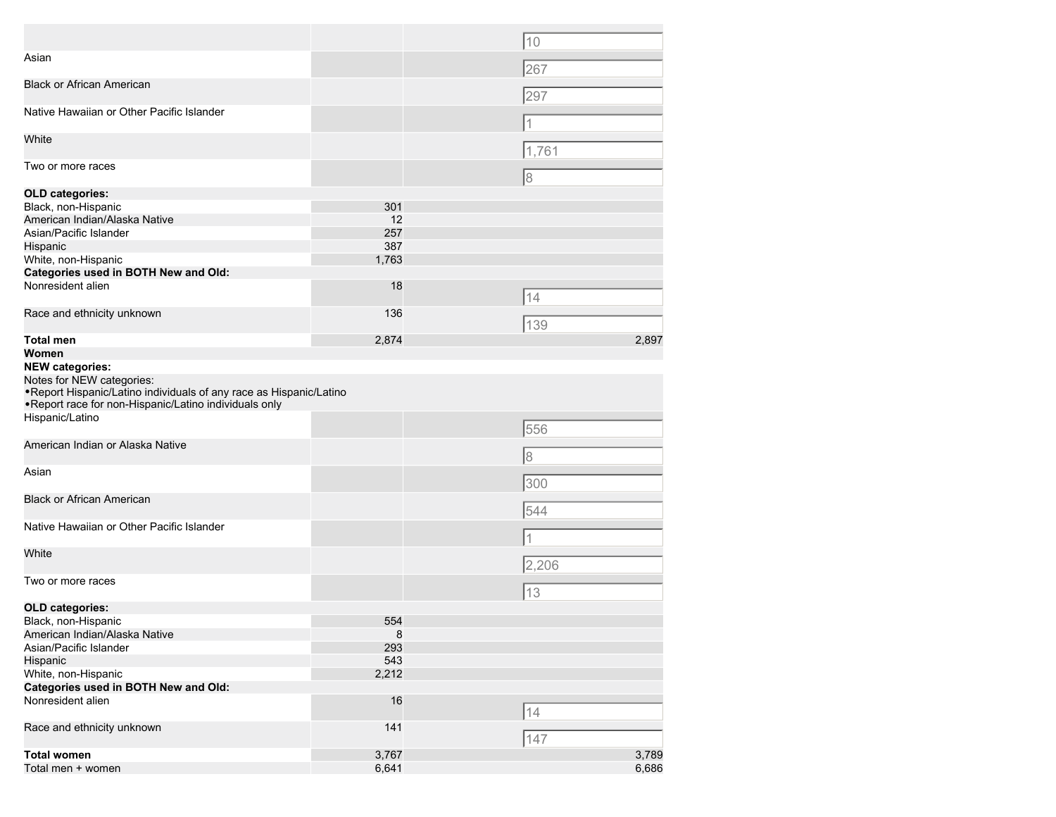|                                                                                                                                                            |         | 10    |
|------------------------------------------------------------------------------------------------------------------------------------------------------------|---------|-------|
| Asian                                                                                                                                                      |         | 267   |
| <b>Black or African American</b>                                                                                                                           |         | 297   |
| Native Hawaiian or Other Pacific Islander                                                                                                                  |         | 11    |
| White                                                                                                                                                      |         | 1,761 |
| Two or more races                                                                                                                                          |         | 18    |
| <b>OLD categories:</b>                                                                                                                                     |         |       |
| Black, non-Hispanic                                                                                                                                        | 301     |       |
| American Indian/Alaska Native                                                                                                                              | 12      |       |
| Asian/Pacific Islander                                                                                                                                     | 257     |       |
| Hispanic                                                                                                                                                   | 387     |       |
| White, non-Hispanic                                                                                                                                        | 1,763   |       |
| <b>Categories used in BOTH New and Old:</b>                                                                                                                |         |       |
| Nonresident alien                                                                                                                                          | 18      | 14    |
| Race and ethnicity unknown                                                                                                                                 | 136     | 139   |
| Total men                                                                                                                                                  | 2,874   | 2,897 |
| Women                                                                                                                                                      |         |       |
| <b>NEW categories:</b>                                                                                                                                     |         |       |
| Notes for NEW categories:<br>. Report Hispanic/Latino individuals of any race as Hispanic/Latino<br>. Report race for non-Hispanic/Latino individuals only |         |       |
| Hispanic/Latino                                                                                                                                            |         | 556   |
| American Indian or Alaska Native                                                                                                                           |         | 8     |
| Asian                                                                                                                                                      |         | 300   |
| <b>Black or African American</b>                                                                                                                           |         | 544   |
| Native Hawaiian or Other Pacific Islander                                                                                                                  |         |       |
| White                                                                                                                                                      |         | 2,206 |
| Two or more races                                                                                                                                          |         | 13    |
| <b>OLD categories:</b>                                                                                                                                     |         |       |
| Black, non-Hispanic                                                                                                                                        | 554     |       |
| American Indian/Alaska Native                                                                                                                              | $\bf 8$ |       |
| Asian/Pacific Islander                                                                                                                                     | 293     |       |
| Hispanic                                                                                                                                                   | 543     |       |
| White, non-Hispanic                                                                                                                                        | 2,212   |       |
| Categories used in BOTH New and Old:                                                                                                                       |         |       |
| Nonresident alien                                                                                                                                          | 16      | 14    |
| Race and ethnicity unknown                                                                                                                                 | 141     | 147   |
| <b>Total women</b>                                                                                                                                         | 3,767   | 3,789 |
| Total men + women                                                                                                                                          | 6,641   | 6,686 |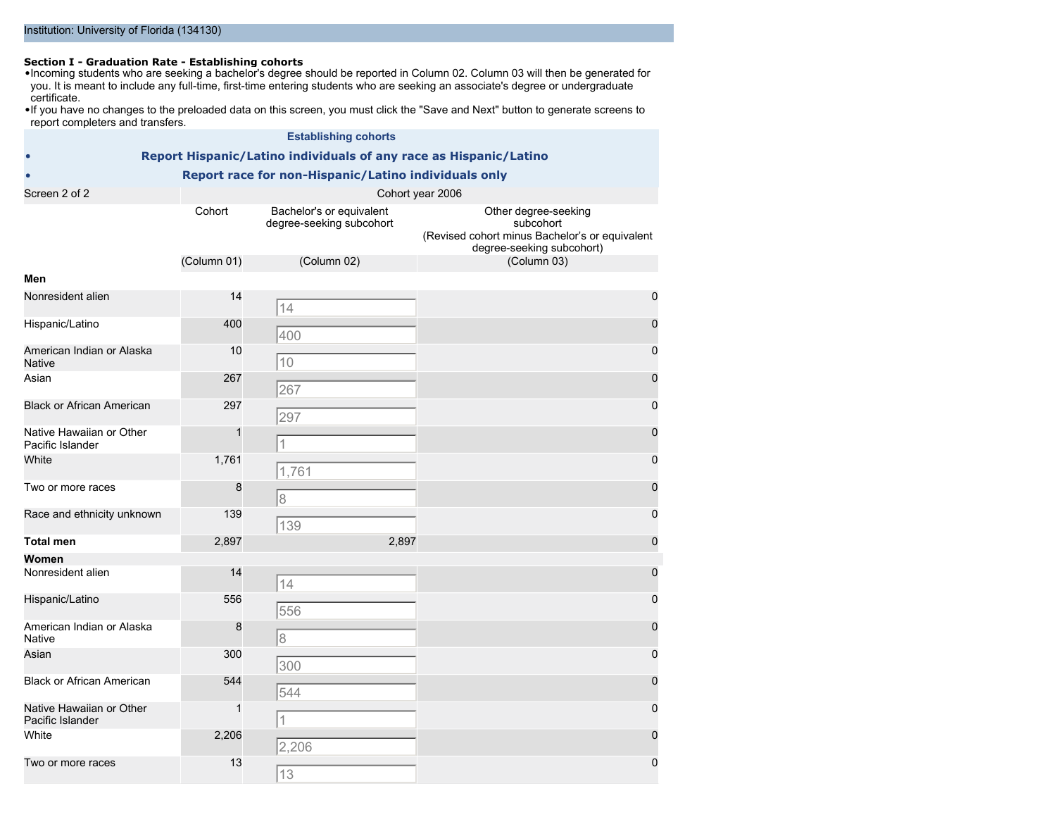**Section I - Graduation Rate - Establishing cohorts** •Incoming students who are seeking a bachelor's degree should be reported in Column 02. Column 03 will then be generated for you. It is meant to include any full-time, first-time entering students who are seeking an associate's degree or undergraduate certificate.

•If you have no changes to the preloaded data on this screen, you must click the "Save and Next" button to generate screens to report completers and transfers.

|                                              |                  | <b>Establishing cohorts</b>                                       |                                                                                                                  |  |  |  |
|----------------------------------------------|------------------|-------------------------------------------------------------------|------------------------------------------------------------------------------------------------------------------|--|--|--|
|                                              |                  | Report Hispanic/Latino individuals of any race as Hispanic/Latino |                                                                                                                  |  |  |  |
|                                              |                  | Report race for non-Hispanic/Latino individuals only              |                                                                                                                  |  |  |  |
| Screen 2 of 2                                | Cohort year 2006 |                                                                   |                                                                                                                  |  |  |  |
|                                              | Cohort           | Bachelor's or equivalent<br>degree-seeking subcohort              | Other degree-seeking<br>subcohort<br>(Revised cohort minus Bachelor's or equivalent<br>degree-seeking subcohort) |  |  |  |
|                                              | (Column 01)      | (Column 02)                                                       | (Column 03)                                                                                                      |  |  |  |
| Men                                          |                  |                                                                   |                                                                                                                  |  |  |  |
| Nonresident alien                            | 14               | 14                                                                | $\mathbf 0$                                                                                                      |  |  |  |
| Hispanic/Latino                              | 400              | 400                                                               | $\mathbf 0$                                                                                                      |  |  |  |
| American Indian or Alaska<br><b>Native</b>   | 10               | 10                                                                | $\mathbf 0$                                                                                                      |  |  |  |
| Asian                                        | 267              | 267                                                               | $\mathbf 0$                                                                                                      |  |  |  |
| <b>Black or African American</b>             | 297              | 297                                                               | $\mathbf 0$                                                                                                      |  |  |  |
| Native Hawaiian or Other<br>Pacific Islander | 1                |                                                                   | $\mathbf 0$                                                                                                      |  |  |  |
| White                                        | 1,761            | 1,761                                                             | $\pmb{0}$                                                                                                        |  |  |  |
| Two or more races                            | 8                | 18                                                                | $\mathbf 0$                                                                                                      |  |  |  |
| Race and ethnicity unknown                   | 139              | 139                                                               | $\mathbf 0$                                                                                                      |  |  |  |
| <b>Total men</b>                             | 2,897            | 2,897                                                             | $\mathbf 0$                                                                                                      |  |  |  |
| Women                                        |                  |                                                                   |                                                                                                                  |  |  |  |
| Nonresident alien                            | 14               | 14                                                                | $\mathbf 0$                                                                                                      |  |  |  |
| Hispanic/Latino                              | 556              | 556                                                               | $\mathbf 0$                                                                                                      |  |  |  |
| American Indian or Alaska<br><b>Native</b>   | 8                | 18                                                                | $\mathbf 0$                                                                                                      |  |  |  |
| Asian                                        | 300              | 300                                                               | $\mathbf 0$                                                                                                      |  |  |  |
| <b>Black or African American</b>             | 544              | 544                                                               | $\mathbf 0$                                                                                                      |  |  |  |
| Native Hawaiian or Other<br>Pacific Islander | 1                | 1                                                                 | $\mathbf 0$                                                                                                      |  |  |  |
| White                                        | 2,206            | 2,206                                                             | $\mathbf 0$                                                                                                      |  |  |  |
| Two or more races                            | 13               | 13                                                                | 0                                                                                                                |  |  |  |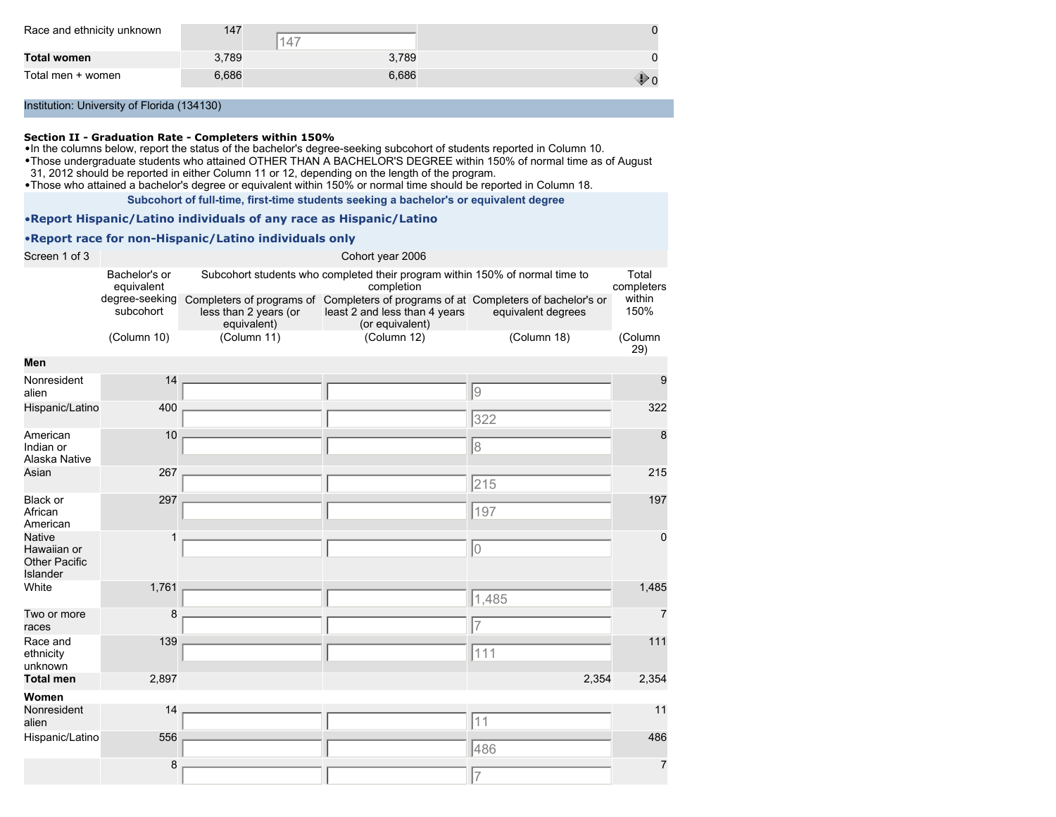| Race and ethnicity unknown | 147   | 4     |   |
|----------------------------|-------|-------|---|
| Total women                | 3.789 | 3,789 |   |
| Total men + women          | 6,686 | 6,686 | w |

#### **Section II - Graduation Rate - Completers within 150%**

•In the columns below, report the status of the bachelor's degree-seeking subcohort of students reported in Column 10.

•Those undergraduate students who attained OTHER THAN A BACHELOR'S DEGREE within 150% of normal time as of August

31, 2012 should be reported in either Column 11 or 12, depending on the length of the program.

•Those who attained a bachelor's degree or equivalent within 150% or normal time should be reported in Column 18.

**Subcohort of full-time, first-time students seeking a bachelor's or equivalent degree**

•**Report Hispanic/Latino individuals of any race as Hispanic/Latino**

#### •**Report race for non-Hispanic/Latino individuals only**

| Screen 1 of 3                                                    |                             |                                                                   | Cohort year 2006                                                                                             |                    |                     |
|------------------------------------------------------------------|-----------------------------|-------------------------------------------------------------------|--------------------------------------------------------------------------------------------------------------|--------------------|---------------------|
|                                                                  | Bachelor's or<br>equivalent |                                                                   | Subcohort students who completed their program within 150% of normal time to<br>completion                   |                    | Total<br>completers |
|                                                                  | degree-seeking<br>subcohort | Completers of programs of<br>less than 2 years (or<br>equivalent) | Completers of programs of at Completers of bachelor's or<br>least 2 and less than 4 years<br>(or equivalent) | equivalent degrees | within<br>150%      |
|                                                                  | (Column 10)                 | (Column 11)                                                       | (Column 12)                                                                                                  | (Column 18)        | (Column<br>29)      |
| Men                                                              |                             |                                                                   |                                                                                                              |                    |                     |
| Nonresident<br>alien                                             | 14                          |                                                                   |                                                                                                              | 9                  | 9                   |
| Hispanic/Latino                                                  | 400                         |                                                                   |                                                                                                              | 322                | 322                 |
| American<br>Indian or<br>Alaska Native                           | 10                          |                                                                   |                                                                                                              | 8                  | 8                   |
| Asian                                                            | 267                         |                                                                   |                                                                                                              | 215                | 215                 |
| Black or<br>African<br>American                                  | 297                         |                                                                   |                                                                                                              | 197                | 197                 |
| <b>Native</b><br>Hawaiian or<br><b>Other Pacific</b><br>Islander | 1                           |                                                                   |                                                                                                              | 10                 | 0                   |
| White                                                            | 1,761                       |                                                                   |                                                                                                              | 1,485              | 1,485               |
| Two or more<br>races                                             | 8                           |                                                                   |                                                                                                              | $\overline{7}$     | $\overline{7}$      |
| Race and<br>ethnicity<br>unknown                                 | 139                         |                                                                   |                                                                                                              | 111                | 111                 |
| <b>Total men</b>                                                 | 2,897                       |                                                                   |                                                                                                              | 2,354              | 2,354               |
| Women                                                            |                             |                                                                   |                                                                                                              |                    |                     |
| Nonresident<br>alien                                             | 14                          |                                                                   |                                                                                                              | 11                 | 11                  |
| Hispanic/Latino                                                  | 556                         |                                                                   |                                                                                                              | 486                | 486                 |
|                                                                  | 8                           |                                                                   |                                                                                                              | 17                 | $\overline{7}$      |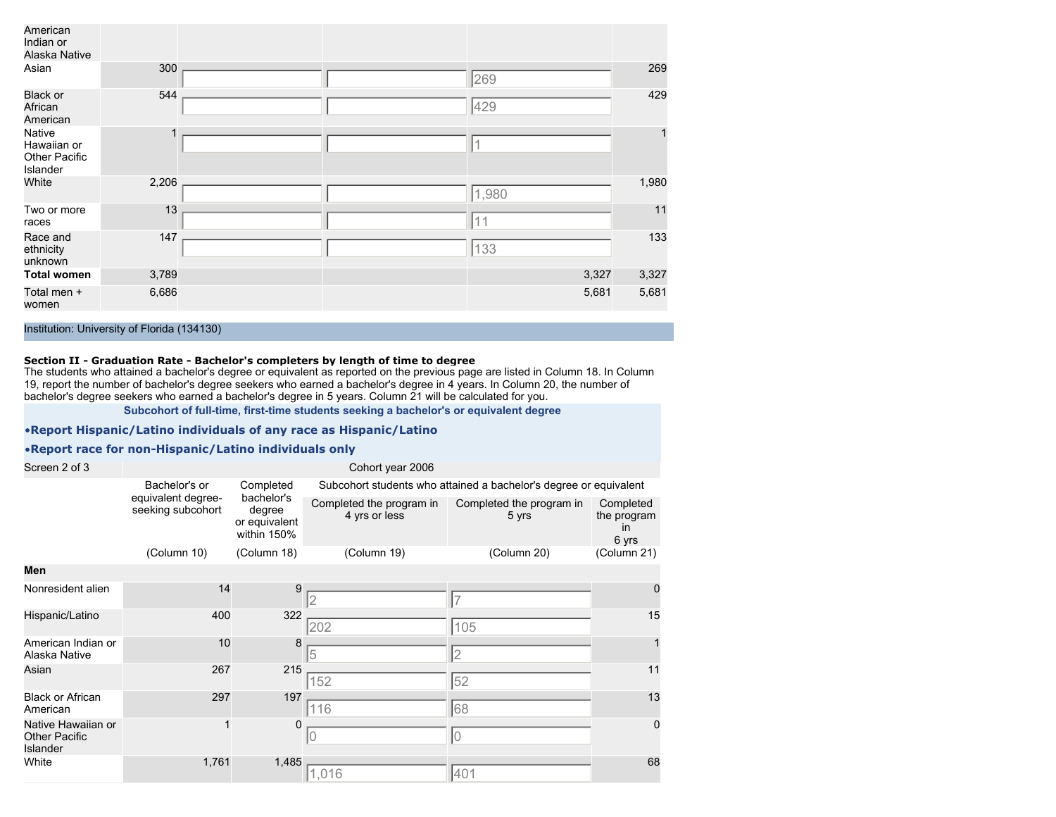| American<br>Indian or<br>Alaska Native             |       |  |       |       |
|----------------------------------------------------|-------|--|-------|-------|
| Asian                                              | 300   |  | 269   | 269   |
| <b>Black or</b><br>African<br>American             | 544   |  | 429   | 429   |
| Native<br>Hawaiian or<br>Other Pacific<br>Islander |       |  |       |       |
| White                                              | 2,206 |  | 1,980 | 1,980 |
| Two or more<br>races                               | 13    |  | 11    | 11    |
| Race and<br>ethnicity<br>unknown                   | 147   |  | 133   | 133   |
| <b>Total women</b>                                 | 3,789 |  | 3,327 | 3,327 |
| Total men +<br>women                               | 6,686 |  | 5,681 | 5,681 |

#### **Section II - Graduation Rate - Bachelor's completers by length of time to degree**

The students who attained a bachelor's degree or equivalent as reported on the previous page are listed in Column 18. In Column 19, report the number of bachelor's degree seekers who earned a bachelor's degree in 4 years. In Column 20, the number of bachelor's degree seekers who earned a bachelor's degree in 5 years. Column 21 will be calculated for you.

**Subcohort of full-time, first-time students seeking a bachelor's or equivalent degree**

#### •**Report Hispanic/Latino individuals of any race as Hispanic/Latino**

#### •**Report race for non-Hispanic/Latino individuals only**

| Screen 2 of 3                                          |                                         |                                                      | Cohort year 2006                                                  |                                   |                                                |  |
|--------------------------------------------------------|-----------------------------------------|------------------------------------------------------|-------------------------------------------------------------------|-----------------------------------|------------------------------------------------|--|
|                                                        | Bachelor's or                           | Completed                                            | Subcohort students who attained a bachelor's degree or equivalent |                                   |                                                |  |
|                                                        | equivalent degree-<br>seeking subcohort | bachelor's<br>degree<br>or equivalent<br>within 150% | Completed the program in<br>4 yrs or less                         | Completed the program in<br>5 yrs | Completed<br>the program<br><i>in</i><br>6 yrs |  |
|                                                        | (Column 10)                             | (Column 18)                                          | (Column 19)                                                       | (Column 20)                       | (Column 21)                                    |  |
| Men                                                    |                                         |                                                      |                                                                   |                                   |                                                |  |
| Nonresident alien                                      | 14                                      | 9                                                    | $\mathcal{D}$                                                     | $\overline{7}$                    | 0                                              |  |
| Hispanic/Latino                                        | 400                                     | 322                                                  | 202                                                               | 105                               | 15                                             |  |
| American Indian or<br>Alaska Native                    | 10                                      | 8                                                    | 5                                                                 | $\overline{2}$                    |                                                |  |
| Asian                                                  | 267                                     | 215                                                  | 152                                                               | 52                                | 11                                             |  |
| <b>Black or African</b><br>American                    | 297                                     | 197                                                  | 116                                                               | 68                                | 13                                             |  |
| Native Hawaiian or<br><b>Other Pacific</b><br>Islander |                                         | 0                                                    | Iо                                                                | 10                                | $\mathbf 0$                                    |  |
| White                                                  | 1,761                                   | 1,485                                                | 1,016                                                             | 401                               | 68                                             |  |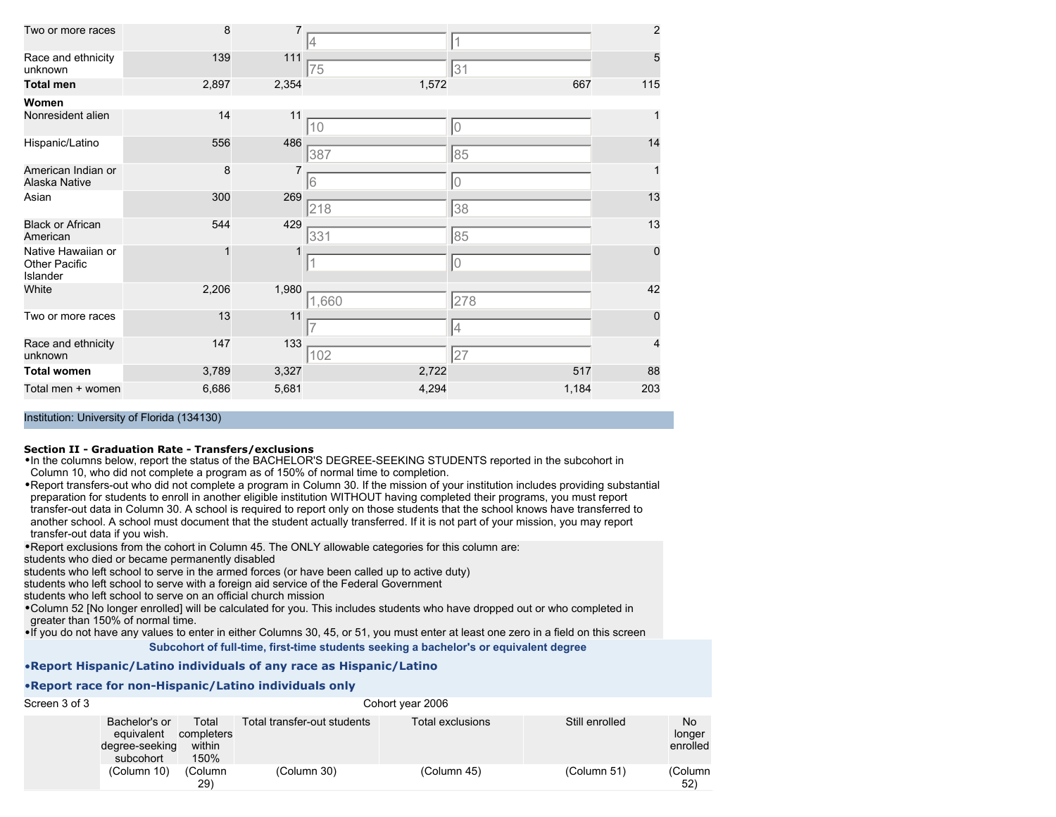| Two or more races                                      | 8     | 7     |       | 1     | $\overline{c}$ |
|--------------------------------------------------------|-------|-------|-------|-------|----------------|
| Race and ethnicity<br>unknown                          | 139   | 111   | 75    | 31    | 5              |
| <b>Total men</b>                                       | 2,897 | 2,354 | 1,572 | 667   | 115            |
| Women                                                  |       |       |       |       |                |
| Nonresident alien                                      | 14    | 11    | 10    | 10    |                |
| Hispanic/Latino                                        | 556   | 486   | 387   | 85    | 14             |
| American Indian or<br>Alaska Native                    | 8     | 7     | 6     | 10    |                |
| Asian                                                  | 300   | 269   | 218   | 38    | 13             |
| <b>Black or African</b><br>American                    | 544   | 429   | 331   | 85    | 13             |
| Native Hawaiian or<br><b>Other Pacific</b><br>Islander |       |       |       | 10    | $\mathbf 0$    |
| White                                                  | 2,206 | 1,980 | 1,660 | 278   | 42             |
| Two or more races                                      | 13    | 11    |       | 4     | $\Omega$       |
| Race and ethnicity<br>unknown                          | 147   | 133   | 102   | 27    | 4              |
| <b>Total women</b>                                     | 3,789 | 3,327 | 2,722 | 517   | 88             |
| Total men + women                                      | 6,686 | 5,681 | 4,294 | 1,184 | 203            |

#### **Section II - Graduation Rate - Transfers/exclusions**

•In the columns below, report the status of the BACHELOR'S DEGREE-SEEKING STUDENTS reported in the subcohort in Column 10, who did not complete a program as of 150% of normal time to completion.

•Report transfers-out who did not complete a program in Column 30. If the mission of your institution includes providing substantial preparation for students to enroll in another eligible institution WITHOUT having completed their programs, you must report transfer-out data in Column 30. A school is required to report only on those students that the school knows have transferred to another school. A school must document that the student actually transferred. If it is not part of your mission, you may report transfer-out data if you wish.

•Report exclusions from the cohort in Column 45. The ONLY allowable categories for this column are:

students who died or became permanently disabled

students who left school to serve in the armed forces (or have been called up to active duty)

students who left school to serve with a foreign aid service of the Federal Government

students who left school to serve on an official church mission

•Column 52 [No longer enrolled] will be calculated for you. This includes students who have dropped out or who completed in greater than 150% of normal time.

•If you do not have any values to enter in either Columns 30, 45, or 51, you must enter at least one zero in a field on this screen

**Subcohort of full-time, first-time students seeking a bachelor's or equivalent degree**

#### •**Report Hispanic/Latino individuals of any race as Hispanic/Latino**

#### •**Report race for non-Hispanic/Latino individuals only**

| Screen 3 of 3 | Cohort year 2006                                           |                                       |                             |                  |                |                          |  |  |
|---------------|------------------------------------------------------------|---------------------------------------|-----------------------------|------------------|----------------|--------------------------|--|--|
|               | Bachelor's or<br>equivalent<br>degree-seeking<br>subcohort | Total<br>completers<br>within<br>150% | Total transfer-out students | Total exclusions | Still enrolled | No<br>longer<br>enrolled |  |  |
|               | (Column 10)                                                | (Column<br>29)                        | (Column 30)                 | (Column 45)      | (Column 51)    | (Column<br>$52^{\circ}$  |  |  |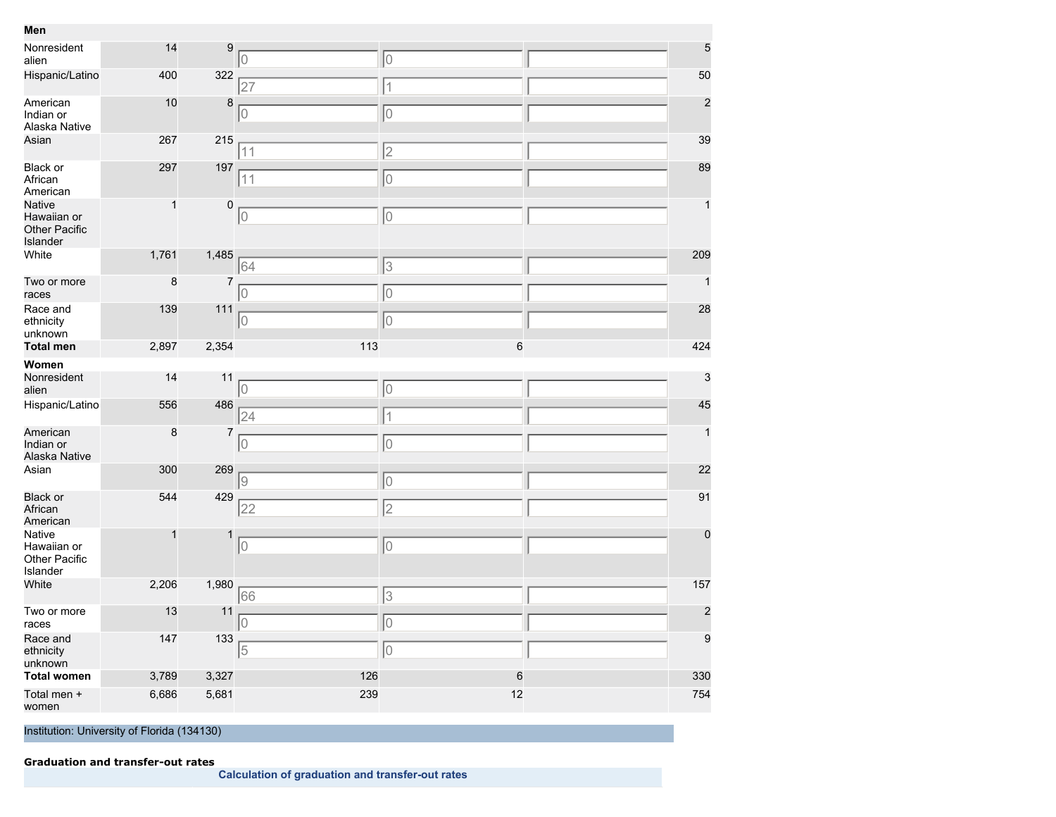| Men                                                       |              |                |            |            |                  |
|-----------------------------------------------------------|--------------|----------------|------------|------------|------------------|
| Nonresident<br>alien                                      | 14           | 9              | 10         | 10         | 5                |
| Hispanic/Latino                                           | 400          | 322            | 27         | $\vert$ 1  | 50               |
| American<br>Indian or<br>Alaska Native                    | 10           | 8              | lo         | 10         | $\overline{c}$   |
| Asian                                                     | 267          | 215            | 11         | $\sqrt{2}$ | 39               |
| <b>Black or</b><br>African<br>American                    | 297          | 197            | 11         | 10         | 89               |
| Native<br>Hawaiian or<br><b>Other Pacific</b><br>Islander | $\mathbf{1}$ | $\pmb{0}$      | 10         | 10         | $\mathbf{1}$     |
| White                                                     | 1,761        | 1,485          | 64         | 3          | 209              |
| Two or more<br>races                                      | $\bf8$       | $\overline{7}$ | 10         | 10         | $\mathbf{1}$     |
| Race and<br>ethnicity<br>unknown                          | 139          | 111            | 10         | 10         | 28               |
| <b>Total men</b>                                          | 2,897        | 2,354          | 113        | $\,$ 6     | 424              |
| Women                                                     |              |                |            |            |                  |
| Nonresident<br>alien                                      | 14           | 11             | lo         | 10         | 3                |
| Hispanic/Latino                                           | 556          | 486            | 24         | 1          | 45               |
| American<br>Indian or<br>Alaska Native                    | 8            |                |            |            | $\mathbf{1}$     |
|                                                           |              | 7              | lo         | 10         |                  |
| Asian                                                     | 300          | 269            | 19         |            | 22               |
| <b>Black or</b><br>African<br>American                    | 544          | 429            | 22         | 10<br>2    | 91               |
| Native<br>Hawaiian or<br>Other Pacific<br>Islander        | 1            | $\mathbf{1}$   | lo         | lo         | $\mathbf 0$      |
| White                                                     | 2,206        | 1,980          | 66         | 3          | 157              |
| Two or more<br>races                                      | 13           | 11             | 10         | 10         | $\overline{c}$   |
| Race and<br>ethnicity<br>unknown                          | 147          | 133            | 5          | 10         | $\boldsymbol{9}$ |
| <b>Total women</b>                                        | 3,789        | 3,327          | 126<br>239 | $\,$ 6     | 330<br>754       |

**Calculation of graduation and transfer-out rates**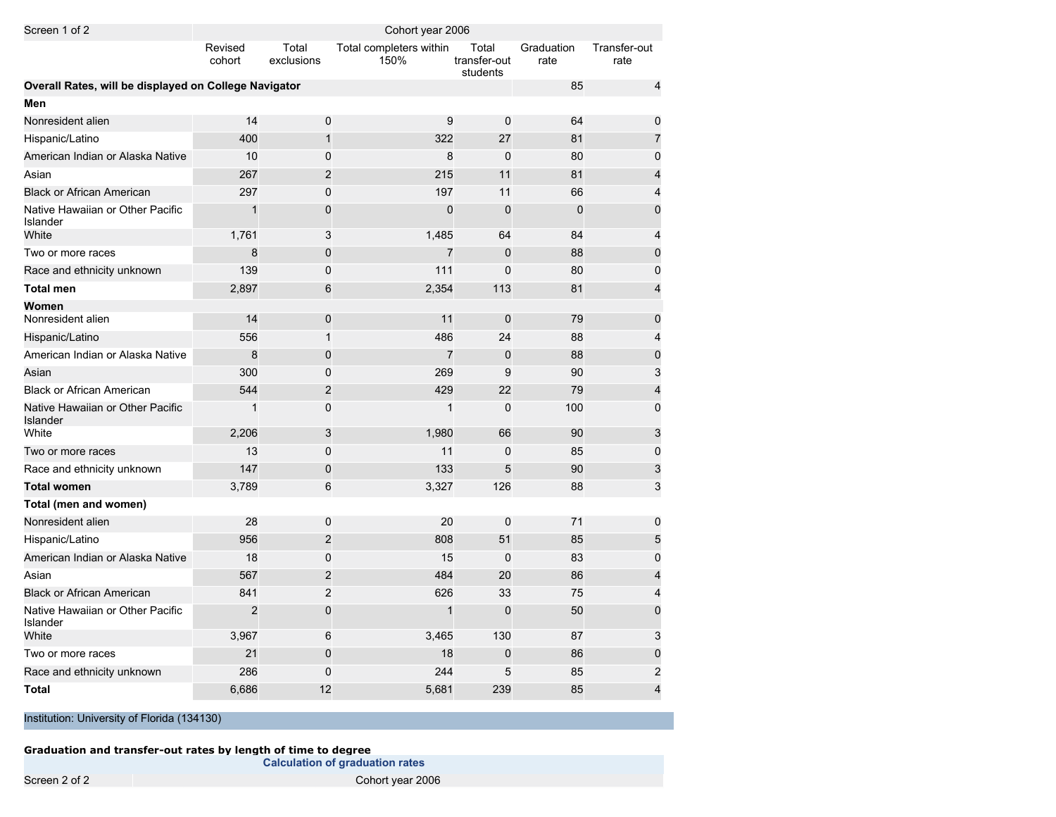| Screen 1 of 2                                         | Cohort year 2006  |                     |                                 |                                   |                    |                         |
|-------------------------------------------------------|-------------------|---------------------|---------------------------------|-----------------------------------|--------------------|-------------------------|
|                                                       | Revised<br>cohort | Total<br>exclusions | Total completers within<br>150% | Total<br>transfer-out<br>students | Graduation<br>rate | Transfer-out<br>rate    |
| Overall Rates, will be displayed on College Navigator |                   |                     |                                 |                                   | 85                 | 4                       |
| Men                                                   |                   |                     |                                 |                                   |                    |                         |
| Nonresident alien                                     | 14                | 0                   | 9                               | $\mathbf 0$                       | 64                 | 0                       |
| Hispanic/Latino                                       | 400               | $\mathbf{1}$        | 322                             | 27                                | 81                 | 7                       |
| American Indian or Alaska Native                      | 10                | 0                   | 8                               | $\mathbf 0$                       | 80                 | 0                       |
| Asian                                                 | 267               | $\overline{c}$      | 215                             | 11                                | 81                 | 4                       |
| <b>Black or African American</b>                      | 297               | 0                   | 197                             | 11                                | 66                 | 4                       |
| Native Hawaiian or Other Pacific<br><b>Islander</b>   | $\mathbf{1}$      | 0                   | $\Omega$                        | $\mathbf{0}$                      | $\mathbf 0$        | 0                       |
| White                                                 | 1,761             | 3                   | 1,485                           | 64                                | 84                 | 4                       |
| Two or more races                                     | 8                 | $\mathbf 0$         | $\overline{7}$                  | $\mathbf 0$                       | 88                 | $\mathbf 0$             |
| Race and ethnicity unknown                            | 139               | 0                   | 111                             | $\mathbf{0}$                      | 80                 | 0                       |
| <b>Total men</b>                                      | 2,897             | 6                   | 2,354                           | 113                               | 81                 | $\overline{\mathbf{4}}$ |
| Women                                                 |                   |                     |                                 |                                   |                    |                         |
| Nonresident alien                                     | 14                | $\mathbf 0$         | 11                              | $\mathbf 0$                       | 79                 | $\pmb{0}$               |
| Hispanic/Latino                                       | 556               | 1                   | 486                             | 24                                | 88                 | 4                       |
| American Indian or Alaska Native                      | 8                 | $\pmb{0}$           | $\overline{7}$                  | $\mathbf 0$                       | 88                 | $\pmb{0}$               |
| Asian                                                 | 300               | 0                   | 269                             | 9                                 | 90                 | 3                       |
| <b>Black or African American</b>                      | 544               | $\overline{c}$      | 429                             | 22                                | 79                 | 4                       |
| Native Hawaiian or Other Pacific<br>Islander          | 1                 | 0                   | 1                               | $\mathbf 0$                       | 100                | 0                       |
| White                                                 | 2,206             | 3                   | 1,980                           | 66                                | 90                 | 3                       |
| Two or more races                                     | 13                | 0                   | 11                              | $\mathbf 0$                       | 85                 | 0                       |
| Race and ethnicity unknown                            | 147               | 0                   | 133                             | 5                                 | 90                 | 3                       |
| <b>Total women</b>                                    | 3,789             | 6                   | 3,327                           | 126                               | 88                 | 3                       |
| Total (men and women)                                 |                   |                     |                                 |                                   |                    |                         |
| Nonresident alien                                     | 28                | 0                   | 20                              | $\mathbf 0$                       | 71                 | 0                       |
| Hispanic/Latino                                       | 956               | $\overline{c}$      | 808                             | 51                                | 85                 | 5                       |
| American Indian or Alaska Native                      | 18                | 0                   | 15                              | $\Omega$                          | 83                 | 0                       |
| Asian                                                 | 567               | $\overline{2}$      | 484                             | 20                                | 86                 | $\overline{\mathbf{4}}$ |
| <b>Black or African American</b>                      | 841               | $\overline{2}$      | 626                             | 33                                | 75                 | 4                       |
| Native Hawaiian or Other Pacific<br>Islander          | $\overline{2}$    | $\overline{0}$      | 1                               | $\Omega$                          | 50                 | $\overline{0}$          |
| White                                                 | 3,967             | 6                   | 3,465                           | 130                               | 87                 | 3                       |
| Two or more races                                     | 21                | $\mathbf 0$         | 18                              | $\mathbf 0$                       | 86                 | 0                       |
| Race and ethnicity unknown                            | 286               | 0                   | 244                             | 5                                 | 85                 | $\overline{c}$          |
| <b>Total</b>                                          | 6,686             | 12                  | 5,681                           | 239                               | 85                 | $\overline{\mathbf{4}}$ |

**Graduation and transfer-out rates by length of time to degree**

**Calculation of graduation rates**

Screen 2 of 2 Cohort year 2006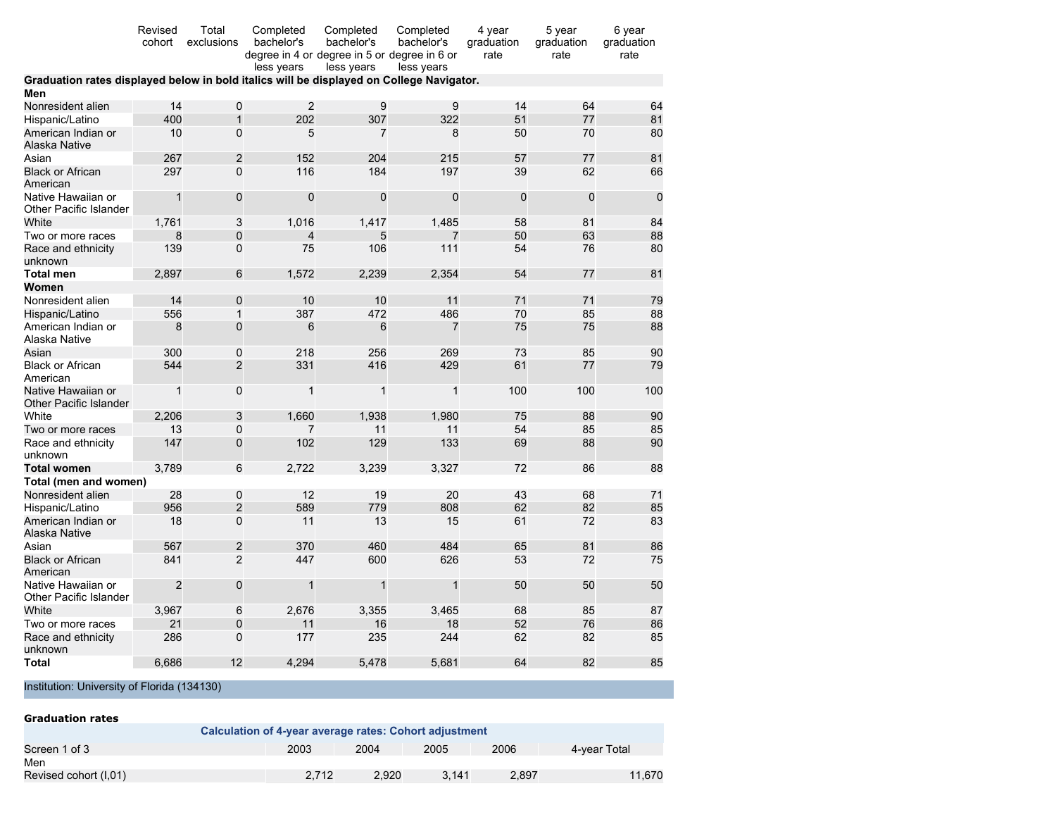|                                                                                          | Revised<br>cohort | Total<br>exclusions | Completed<br>bachelor's<br>degree in 4 or degree in 5 or degree in 6 or<br>less years | Completed<br>bachelor's<br>less years | Completed<br>bachelor's<br>less years | 4 year<br>graduation<br>rate | 5 year<br>graduation<br>rate | 6 year<br>graduation<br>rate |
|------------------------------------------------------------------------------------------|-------------------|---------------------|---------------------------------------------------------------------------------------|---------------------------------------|---------------------------------------|------------------------------|------------------------------|------------------------------|
| Graduation rates displayed below in bold italics will be displayed on College Navigator. |                   |                     |                                                                                       |                                       |                                       |                              |                              |                              |
| Men                                                                                      |                   |                     |                                                                                       |                                       |                                       |                              |                              |                              |
| Nonresident alien                                                                        | 14                | 0                   | $\overline{2}$                                                                        | 9                                     | 9                                     | 14                           | 64                           | 64                           |
| Hispanic/Latino                                                                          | 400               | $\mathbf{1}$        | 202                                                                                   | 307                                   | 322                                   | 51                           | 77                           | 81                           |
| American Indian or<br>Alaska Native                                                      | 10                | 0                   | 5                                                                                     | $\overline{7}$                        | 8                                     | 50                           | 70                           | 80                           |
| Asian                                                                                    | 267               | $\overline{2}$      | 152                                                                                   | 204                                   | 215                                   | 57                           | 77                           | 81                           |
| <b>Black or African</b><br>American                                                      | 297               | $\overline{0}$      | 116                                                                                   | 184                                   | 197                                   | 39                           | 62                           | 66                           |
| Native Hawaiian or<br>Other Pacific Islander                                             | $\mathbf{1}$      | 0                   | 0                                                                                     | 0                                     | 0                                     | $\mathbf 0$                  | $\mathbf 0$                  | $\mathbf 0$                  |
| White                                                                                    | 1,761             | 3                   | 1,016                                                                                 | 1,417                                 | 1,485                                 | 58                           | 81                           | 84                           |
| Two or more races                                                                        | 8                 | 0                   | $\overline{\mathbf{4}}$                                                               | 5                                     |                                       | 50                           | 63                           | 88                           |
| Race and ethnicity<br>unknown                                                            | 139               | 0                   | 75                                                                                    | 106                                   | 111                                   | 54                           | 76                           | 80                           |
| <b>Total men</b>                                                                         | 2,897             | 6                   | 1,572                                                                                 | 2,239                                 | 2,354                                 | 54                           | 77                           | 81                           |
| Women                                                                                    |                   |                     |                                                                                       |                                       |                                       |                              |                              |                              |
| Nonresident alien                                                                        | 14                | 0                   | 10                                                                                    | 10                                    | 11                                    | 71                           | 71                           | 79                           |
| Hispanic/Latino                                                                          | 556               | 1                   | 387                                                                                   | 472                                   | 486                                   | 70                           | 85                           | 88                           |
| American Indian or<br>Alaska Native                                                      | 8                 | 0                   | 6                                                                                     | 6                                     | 7                                     | 75                           | 75                           | 88                           |
| Asian                                                                                    | 300               | 0                   | 218                                                                                   | 256                                   | 269                                   | 73                           | 85                           | 90                           |
| <b>Black or African</b><br>American                                                      | 544               | $\overline{2}$      | 331                                                                                   | 416                                   | 429                                   | 61                           | 77                           | 79                           |
| Native Hawaiian or<br>Other Pacific Islander                                             | $\mathbf{1}$      | 0                   | $\mathbf{1}$                                                                          | $\mathbf{1}$                          | 1                                     | 100                          | 100                          | 100                          |
| White                                                                                    | 2,206             | 3                   | 1,660                                                                                 | 1,938                                 | 1,980                                 | 75                           | 88                           | 90                           |
| Two or more races                                                                        | 13                | 0                   | 7                                                                                     | 11                                    | 11                                    | 54                           | 85                           | 85                           |
| Race and ethnicity<br>unknown                                                            | 147               | 0                   | 102                                                                                   | 129                                   | 133                                   | 69                           | 88                           | 90                           |
| <b>Total women</b>                                                                       | 3,789             | 6                   | 2,722                                                                                 | 3,239                                 | 3,327                                 | 72                           | 86                           | 88                           |
| Total (men and women)                                                                    |                   |                     |                                                                                       |                                       |                                       |                              |                              |                              |
| Nonresident alien                                                                        | 28                | 0                   | 12                                                                                    | 19                                    | 20                                    | 43                           | 68                           | 71                           |
| Hispanic/Latino                                                                          | 956               | $\overline{c}$      | 589                                                                                   | 779                                   | 808                                   | 62                           | 82                           | 85                           |
| American Indian or<br>Alaska Native                                                      | 18                | $\overline{0}$      | 11                                                                                    | 13                                    | 15                                    | 61                           | 72                           | 83                           |
| Asian                                                                                    | 567               | $\overline{2}$      | 370                                                                                   | 460                                   | 484                                   | 65                           | 81                           | 86                           |
| <b>Black or African</b><br>American                                                      | 841               | $\overline{2}$      | 447                                                                                   | 600                                   | 626                                   | 53                           | 72                           | 75                           |
| Native Hawaiian or<br>Other Pacific Islander                                             | $\overline{2}$    | 0                   | $\mathbf{1}$                                                                          | $\mathbf{1}$                          | $\mathbf{1}$                          | 50                           | 50                           | 50                           |
| White                                                                                    | 3,967             | 6                   | 2,676                                                                                 | 3,355                                 | 3,465                                 | 68                           | 85                           | 87                           |
| Two or more races                                                                        | 21                | $\mathbf 0$         | 11                                                                                    | 16                                    | 18                                    | 52                           | 76                           | 86                           |
| Race and ethnicity<br>unknown                                                            | 286               | $\Omega$            | 177                                                                                   | 235                                   | 244                                   | 62                           | 82                           | 85                           |
| Total                                                                                    | 6.686             | 12                  | 4,294                                                                                 | 5.478                                 | 5.681                                 | 64                           | 82                           | 85                           |

| <b>Graduation rates</b>                                |       |       |       |       |              |
|--------------------------------------------------------|-------|-------|-------|-------|--------------|
| Calculation of 4-year average rates: Cohort adjustment |       |       |       |       |              |
| Screen 1 of 3                                          | 2003  | 2004  | 2005  | 2006  | 4-vear Total |
| Men                                                    |       |       |       |       |              |
| Revised cohort (I,01)                                  | 2.712 | 2.920 | 3.141 | 2.897 | 11.670       |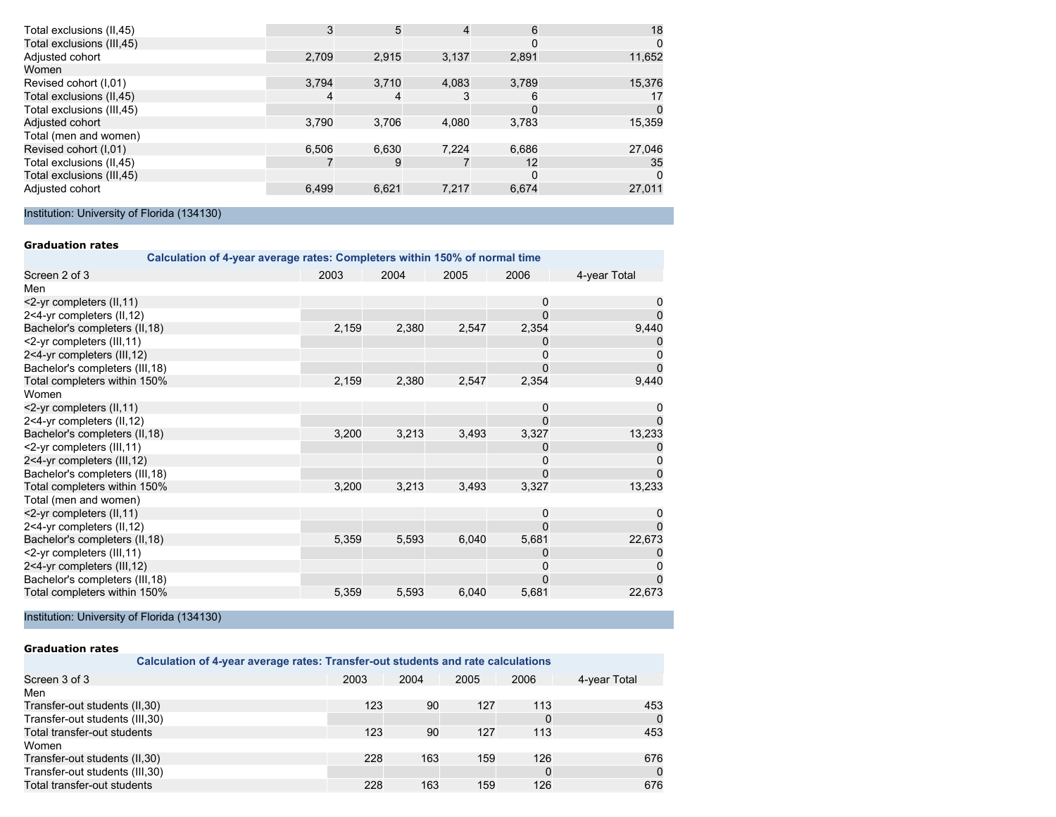| $\Omega$ |
|----------|
| 11,652   |
|          |
| 15,376   |
| 17       |
| $\Omega$ |
| 15,359   |
|          |
| 27,046   |
| 35       |
| $\Omega$ |
| 27,011   |
|          |

#### **Graduation rates**

| Calculation of 4-year average rates: Completers within 150% of normal time |       |       |       |          |              |
|----------------------------------------------------------------------------|-------|-------|-------|----------|--------------|
| Screen 2 of 3                                                              | 2003  | 2004  | 2005  | 2006     | 4-year Total |
| Men                                                                        |       |       |       |          |              |
| <2-yr completers (II, 11)                                                  |       |       |       | 0        |              |
| 2<4-yr completers (II,12)                                                  |       |       |       | $\Omega$ | 0            |
| Bachelor's completers (II,18)                                              | 2,159 | 2,380 | 2,547 | 2,354    | 9,440        |
| <2-yr completers (III, 11)                                                 |       |       |       | 0        |              |
| 2<4-yr completers (III, 12)                                                |       |       |       | 0        |              |
| Bachelor's completers (III, 18)                                            |       |       |       | $\Omega$ | $\Omega$     |
| Total completers within 150%                                               | 2,159 | 2,380 | 2,547 | 2,354    | 9,440        |
| Women                                                                      |       |       |       |          |              |
| <2-yr completers (II, 11)                                                  |       |       |       | 0        |              |
| 2<4-yr completers (II,12)                                                  |       |       |       | $\Omega$ |              |
| Bachelor's completers (II,18)                                              | 3,200 | 3,213 | 3,493 | 3,327    | 13,233       |
| <2-yr completers (III, 11)                                                 |       |       |       | 0        |              |
| 2<4-yr completers (III, 12)                                                |       |       |       | 0        |              |
| Bachelor's completers (III, 18)                                            |       |       |       | $\Omega$ |              |
| Total completers within 150%                                               | 3,200 | 3,213 | 3,493 | 3,327    | 13,233       |
| Total (men and women)                                                      |       |       |       |          |              |
| <2-yr completers (II, 11)                                                  |       |       |       | 0        | 0            |
| 2<4-yr completers (II,12)                                                  |       |       |       | $\Omega$ | $\Omega$     |
| Bachelor's completers (II,18)                                              | 5,359 | 5,593 | 6,040 | 5,681    | 22,673       |
| <2-yr completers (III,11)                                                  |       |       |       | 0        |              |
| 2<4-yr completers (III,12)                                                 |       |       |       | 0        | $\Omega$     |
| Bachelor's completers (III, 18)                                            |       |       |       | 0        | $\Omega$     |
| Total completers within 150%                                               | 5,359 | 5,593 | 6,040 | 5,681    | 22,673       |

Institution: University of Florida (134130)

#### **Graduation rates**

| Calculation of 4-year average rates: Transfer-out students and rate calculations |  |  |  |  |  |
|----------------------------------------------------------------------------------|--|--|--|--|--|
| 4-year Total                                                                     |  |  |  |  |  |
|                                                                                  |  |  |  |  |  |
| 453                                                                              |  |  |  |  |  |
| $\Omega$                                                                         |  |  |  |  |  |
| 453                                                                              |  |  |  |  |  |
|                                                                                  |  |  |  |  |  |
| 676                                                                              |  |  |  |  |  |
| $\mathbf 0$                                                                      |  |  |  |  |  |
| 676                                                                              |  |  |  |  |  |
|                                                                                  |  |  |  |  |  |